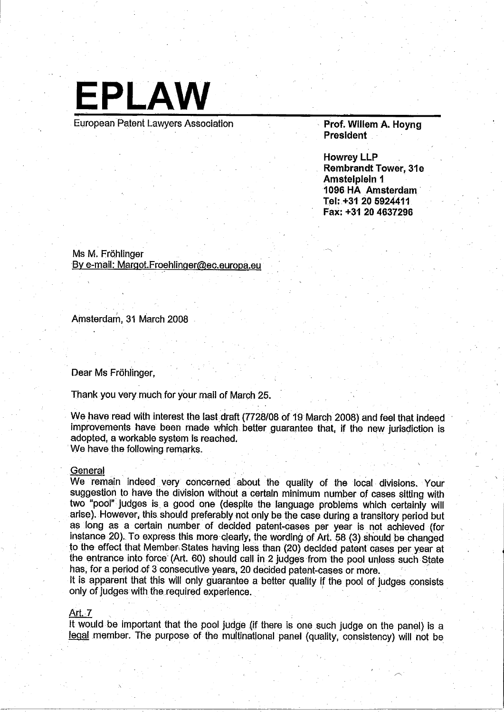

European Patent Lawyers Association

, Prof. Wilem A. Hoyng President

Howrey LLP Rembrandt Tower, 31e Amstelpleln 1 1096 HA Amsterdam' Tel: +31 20 5924411 Fax: +31 20 4637296

/'

'--"

Ms M. Frohlinger By e-mail: Margot.Froehlinger@ec.europa.eu

Amsterdam, 31 March 2008

Dear Ms Fröhlinger,

Thank you very much for your mail of Marçh 25.

We have read with interest the last draft (7728/08 of 19 March 2008) and feel that indeed improvements have been made which better guarantee that, if the new jurisdiction is adopted, a workable system is reached. We have the following remarks.<br>General

We remain indeed very concerned about the quality of the local divisions. Your suggestion to have the division without a certain minimum number of cases sitting with two "pool" judges is a good one (despite the language problems which certainly wil arise). However, this should preferably not only be the case during a transitory period but 8sIong as a certain number of decided patent..casesper year is not achieved (for instance 20). To express this more-clearly, the wording of Art. 58 (3) should be changed to the effect that Member, States having less. than (20) decided patent cases per year at the entrance into force (Art. 60) should call in 2 judges from the pool unless such State has, for a period of 3 consecutive years, 20 decided patent-cases or more.

It is apparent that this will only guarantee a better quality if the pool of judges consists. only of judges with the required experience.

# Art.? '. . . '.

It would be important that the pool judge (if there is one such judge on the panel) is a legal member. The purpose of the multinational panel (quality, consistency) will not be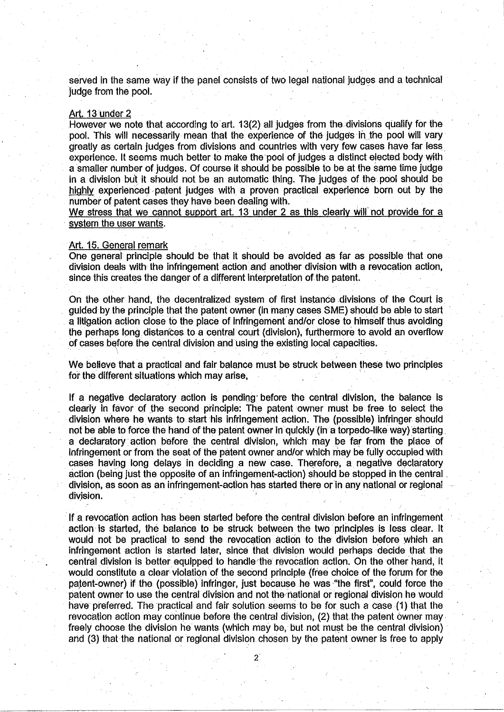served in the same way if the panel consists of two legal national judges and a technical judge from the pool.

### Art. 13 under 2

However we note that according to art. 13(2) all judges from the divisions qualify for the pool. This will necessarily mean that the experience of the judges in the pool will vary greatly as certain judges from divisions and countries with very few cases have far less experience. It seems much better to make the pool of judges a distinct elected body with <sup>a</sup>smaller number of judges. Of course it should be possible to be at the same time judge in a division but it should not be an automatic thing. The judges of the pool should be highly experienced patent judges with a proven practical experience born out by the number of patent cases they have been dealing with.

We stress that we cannot support art. 13 under 2 as this clearly will not provide for a system the user wants.

### Art. 15. General remark

One general principle should be that it should be avoided, as far as possible that one division deals with the infringement action and another division with a revocation action, since this creates the danger of a different interpretation of the patent.

On the other hand, the decentralized system of first instance divisions of the Court is guided by the principle that the patent owner (in many cases SME) should be able to start a litigation action close to the place of infringement and/or close to himself thus avoiding the perhaps long distances to a central court (division), furthermore to avoid an overflow of cases before the central division and using the existing local capacities.

We believe that a practical and fair balance must be struck between these two principles for the different situations which may arise,

If a negative declaratory action is pending' before the central division, the balance, is clearly in favor of the second principle: The patent owner must be free to select the division where he wants to start his infringement action. The (possible) infringer should not be able to force the hand of the patent owner in quickly (in a torpedo-like way) starting a declaratory action before the central division, which may be far from the place of infringement or from the seat of the patent owner and/or which may be fully occupied with cases having long delays in deciding a new case. Therefore, a negative declaratory action (being just the opposite of an infringement-action) should be stopped in the central division, as soon as an infringement-action has started there or in any national or regional division.

. If a revooatiòn action has been started before the central division before an infringement action is started, the balance to be struck between the two principles is less clear. It would not be practical to send the revocation action to the division before which an infringement action is started later, since that division would perhaps decide that the central division is better equipped to handle/the revocation action. On the other hand, it would constitute a clear violation of the second principle (free choice of the forum for the patent-owner) if the (possible) infringer, just because he was "the first", could force the patent owner to use the central division and not the national or regional division he would have preferred. The practical and fair solution seems to be for such a case (1) that the revocation action may continue before the central division, (2) that the patent ówner may freely choose the division he wants (which may be, but not must be the central division) and (3) that the national or regional division chosen by the patent owner is free to apply

2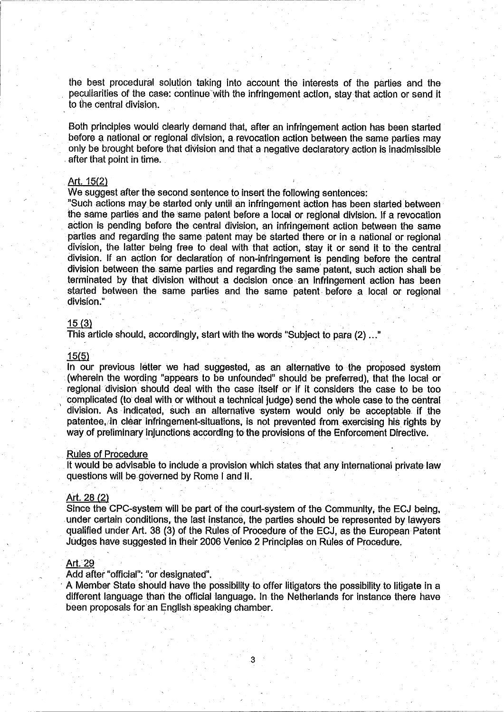the best procedural solution taking into account the interests of the parties and the peculiarities of the case: continue with the infringement action, stay that action or send it to the central division.

Both principles would clearly demand that, after an infringement action has been started before a national or regional division, a revocation action between the same parties may only be brought before that division and that a negative declaratory action is inadmissible , after that point in time.

# Art. 15(2)

We suggest after the second sentence to insert the following sentences:

"Such actions may be started only until an infringement action has been started between the same parties and the same patent before a local or regional division. If a revocation action is pending before the central division, an infringement action between the same parties and regarding the same patent may be started there or in a national or regional division, the latter being free to deal with that action, stay it or send it to the central division. If an action for declaration of non-infringement is pending before the central division between the same parties and regarding the same' patent, such action shall be terminated by that division without a decision once an infringement action has been started betWeen the same parties and the same patent, before a Ideal or regional division." 15 (3) division without a decision once an infringement actracted between the same parties and the same patent before a localivision."<br>division."<br>This article should, accordingly, start with the words "Subject t

#### 15(5)

In our previous letter we had suggested, as an alternative to the proposed system ,(wherein the wording "appears to be unfounded" should be preferred), that the local or regional division should deal with the case itself or if it considers the case to be too complicated (to deal with or without a technical judge) send the whole case to the central division. As indicated, such an alternative system would only be acceptable if the patentee, in clear infringement-situations, is not prevented from exercising his rights by way of preliminary injunctions according to the provisions of the Enforcement Directive.<br>Rules of Procedure

It Would be advisable to include a provision which states that any international private law questions will be governed by Rome I and II.

### Art. 28 (2)

Since the CPC-system will be part of the court-system of the Community, the ECJ being, under certain conditions, the last instance, the parties should be represented by lawyers qualified under Art. 38 (3) of the Rúles of Prócedure of the ECJ, as the European Pàtent Judges have suggested in'their 2006 Venice 2 Principles on Rules of Procedure.

### Art. 29

Add after "official": "or designated".

A Member State should have the possibility to offer litigators the possibility to litigate in a different language than the official language. In the Netherlands for instance there have been proposals for an English speaking chamber.

3